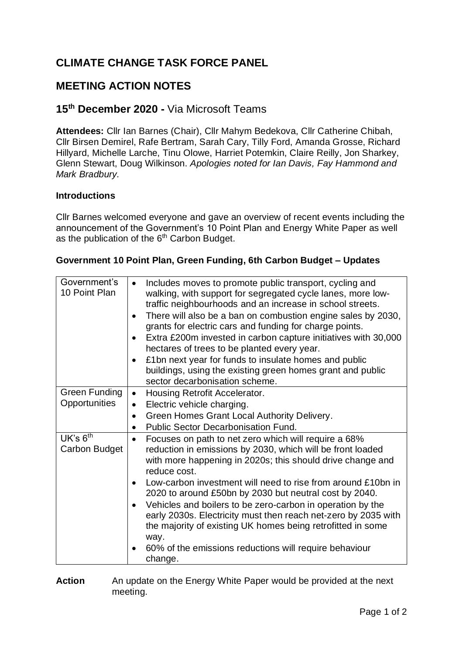# **CLIMATE CHANGE TASK FORCE PANEL**

# **MEETING ACTION NOTES**

# **15th December 2020 -** Via Microsoft Teams

**Attendees:** Cllr Ian Barnes (Chair), Cllr Mahym Bedekova, Cllr Catherine Chibah, Cllr Birsen Demirel, Rafe Bertram, Sarah Cary, Tilly Ford, Amanda Grosse, Richard Hillyard, Michelle Larche, Tinu Olowe, Harriet Potemkin, Claire Reilly, Jon Sharkey, Glenn Stewart, Doug Wilkinson. *Apologies noted for Ian Davis, Fay Hammond and Mark Bradbury.*

#### **Introductions**

Cllr Barnes welcomed everyone and gave an overview of recent events including the announcement of the Government's 10 Point Plan and Energy White Paper as well as the publication of the 6<sup>th</sup> Carbon Budget.

### **Government 10 Point Plan, Green Funding, 6th Carbon Budget – Updates**

| Government's<br>10 Point Plan | Includes moves to promote public transport, cycling and<br>walking, with support for segregated cycle lanes, more low-<br>traffic neighbourhoods and an increase in school streets.<br>There will also be a ban on combustion engine sales by 2030,<br>grants for electric cars and funding for charge points.<br>Extra £200m invested in carbon capture initiatives with 30,000<br>$\bullet$<br>hectares of trees to be planted every year.<br>£1bn next year for funds to insulate homes and public<br>buildings, using the existing green homes grant and public<br>sector decarbonisation scheme. |
|-------------------------------|-------------------------------------------------------------------------------------------------------------------------------------------------------------------------------------------------------------------------------------------------------------------------------------------------------------------------------------------------------------------------------------------------------------------------------------------------------------------------------------------------------------------------------------------------------------------------------------------------------|
| Green Funding                 | Housing Retrofit Accelerator.<br>$\bullet$                                                                                                                                                                                                                                                                                                                                                                                                                                                                                                                                                            |
| Opportunities                 | Electric vehicle charging.                                                                                                                                                                                                                                                                                                                                                                                                                                                                                                                                                                            |
|                               | Green Homes Grant Local Authority Delivery.                                                                                                                                                                                                                                                                                                                                                                                                                                                                                                                                                           |
|                               | <b>Public Sector Decarbonisation Fund.</b>                                                                                                                                                                                                                                                                                                                                                                                                                                                                                                                                                            |
| UK's $6th$<br>Carbon Budget   | Focuses on path to net zero which will require a 68%<br>$\bullet$<br>reduction in emissions by 2030, which will be front loaded<br>with more happening in 2020s; this should drive change and<br>reduce cost.                                                                                                                                                                                                                                                                                                                                                                                         |
|                               | Low-carbon investment will need to rise from around £10bn in<br>$\bullet$<br>2020 to around £50bn by 2030 but neutral cost by 2040.                                                                                                                                                                                                                                                                                                                                                                                                                                                                   |
|                               | Vehicles and boilers to be zero-carbon in operation by the<br>early 2030s. Electricity must then reach net-zero by 2035 with<br>the majority of existing UK homes being retrofitted in some<br>way.                                                                                                                                                                                                                                                                                                                                                                                                   |
|                               | 60% of the emissions reductions will require behaviour<br>change.                                                                                                                                                                                                                                                                                                                                                                                                                                                                                                                                     |

**Action** An update on the Energy White Paper would be provided at the next meeting.